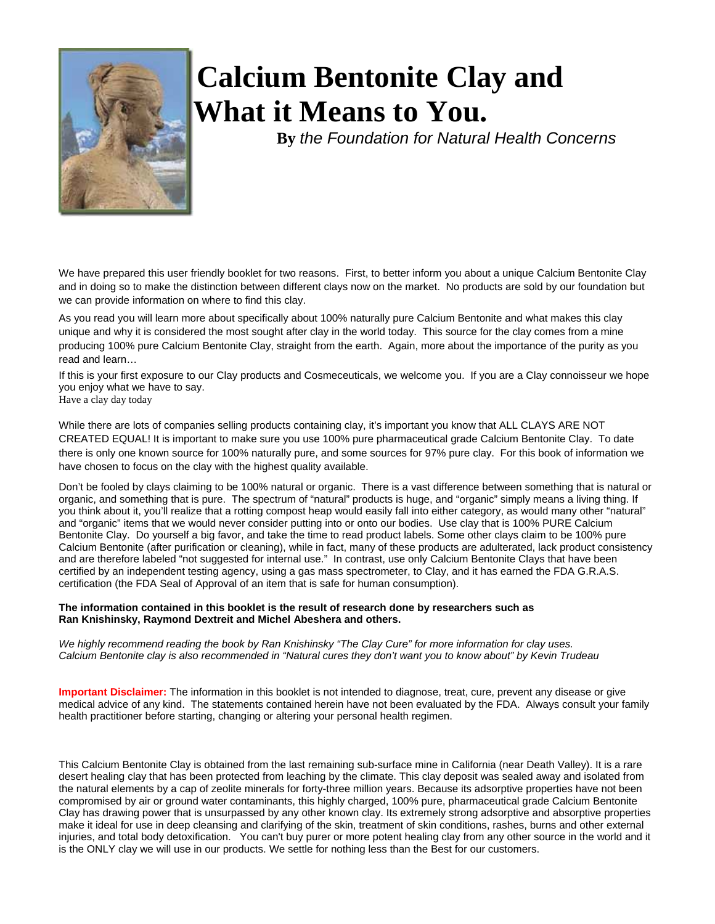

# **Calcium Bentonite Clay and What it Means to You.**

 **By** *the Foundation for Natural Health Concerns*

We have prepared this user friendly booklet for two reasons. First, to better inform you about a unique Calcium Bentonite Clay and in doing so to make the distinction between different clays now on the market. No products are sold by our foundation but we can provide information on where to find this clay.

As you read you will learn more about specifically about 100% naturally pure Calcium Bentonite and what makes this clay unique and why it is considered the most sought after clay in the world today. This source for the clay comes from a mine producing 100% pure Calcium Bentonite Clay, straight from the earth. Again, more about the importance of the purity as you read and learn…

If this is your first exposure to our Clay products and Cosmeceuticals, we welcome you. If you are a Clay connoisseur we hope you enjoy what we have to say.

Have a clay day today

While there are lots of companies selling products containing clay, it's important you know that ALL CLAYS ARE NOT CREATED EQUAL! It is important to make sure you use 100% pure pharmaceutical grade Calcium Bentonite Clay. To date there is only one known source for 100% naturally pure, and some sources for 97% pure clay. For this book of information we have chosen to focus on the clay with the highest quality available.

Don't be fooled by clays claiming to be 100% natural or organic. There is a vast difference between something that is natural or organic, and something that is pure. The spectrum of "natural" products is huge, and "organic" simply means a living thing. If you think about it, you'll realize that a rotting compost heap would easily fall into either category, as would many other "natural" and "organic" items that we would never consider putting into or onto our bodies. Use clay that is 100% PURE Calcium Bentonite Clay. Do yourself a big favor, and take the time to read product labels. Some other clays claim to be 100% pure Calcium Bentonite (after purification or cleaning), while in fact, many of these products are adulterated, lack product consistency and are therefore labeled "not suggested for internal use." In contrast, use only Calcium Bentonite Clays that have been certified by an independent testing agency, using a gas mass spectrometer, to Clay, and it has earned the FDA G.R.A.S. certification (the FDA Seal of Approval of an item that is safe for human consumption).

# **The information contained in this booklet is the result of research done by researchers such as Ran Knishinsky, Raymond Dextreit and Michel Abeshera and others.**

*We highly recommend reading the book by Ran Knishinsky "The Clay Cure" for more information for clay uses. Calcium Bentonite clay is also recommended in "Natural cures they don't want you to know about" by Kevin Trudeau* 

**Important Disclaimer:** The information in this booklet is not intended to diagnose, treat, cure, prevent any disease or give medical advice of any kind. The statements contained herein have not been evaluated by the FDA. Always consult your family health practitioner before starting, changing or altering your personal health regimen.

This Calcium Bentonite Clay is obtained from the last remaining sub-surface mine in California (near Death Valley). It is a rare desert healing clay that has been protected from leaching by the climate. This clay deposit was sealed away and isolated from the natural elements by a cap of zeolite minerals for forty-three million years. Because its adsorptive properties have not been compromised by air or ground water contaminants, this highly charged, 100% pure, pharmaceutical grade Calcium Bentonite Clay has drawing power that is unsurpassed by any other known clay. Its extremely strong adsorptive and absorptive properties make it ideal for use in deep cleansing and clarifying of the skin, treatment of skin conditions, rashes, burns and other external injuries, and total body detoxification. You can't buy purer or more potent healing clay from any other source in the world and it is the ONLY clay we will use in our products. We settle for nothing less than the Best for our customers.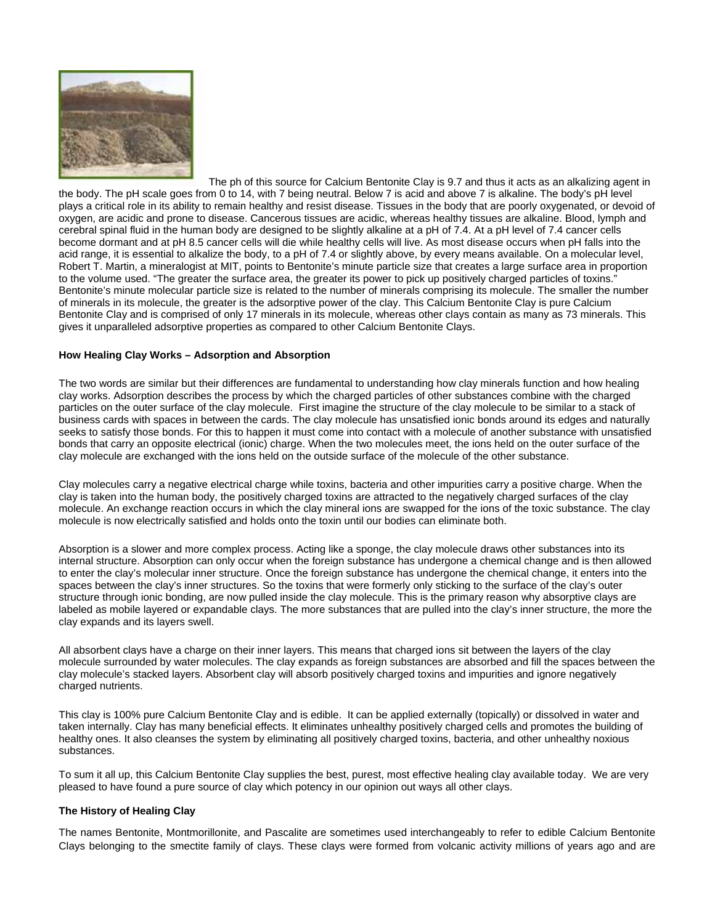

The ph of this source for Calcium Bentonite Clay is 9.7 and thus it acts as an alkalizing agent in the body. The pH scale goes from 0 to 14, with 7 being neutral. Below 7 is acid and above 7 is alkaline. The body's pH level plays a critical role in its ability to remain healthy and resist disease. Tissues in the body that are poorly oxygenated, or devoid of oxygen, are acidic and prone to disease. Cancerous tissues are acidic, whereas healthy tissues are alkaline. Blood, lymph and cerebral spinal fluid in the human body are designed to be slightly alkaline at a pH of 7.4. At a pH level of 7.4 cancer cells become dormant and at pH 8.5 cancer cells will die while healthy cells will live. As most disease occurs when pH falls into the acid range, it is essential to alkalize the body, to a pH of 7.4 or slightly above, by every means available. On a molecular level, Robert T. Martin, a mineralogist at MIT, points to Bentonite's minute particle size that creates a large surface area in proportion to the volume used. "The greater the surface area, the greater its power to pick up positively charged particles of toxins." Bentonite's minute molecular particle size is related to the number of minerals comprising its molecule. The smaller the number of minerals in its molecule, the greater is the adsorptive power of the clay. This Calcium Bentonite Clay is pure Calcium Bentonite Clay and is comprised of only 17 minerals in its molecule, whereas other clays contain as many as 73 minerals. This gives it unparalleled adsorptive properties as compared to other Calcium Bentonite Clays.

## **How Healing Clay Works – Adsorption and Absorption**

The two words are similar but their differences are fundamental to understanding how clay minerals function and how healing clay works. Adsorption describes the process by which the charged particles of other substances combine with the charged particles on the outer surface of the clay molecule. First imagine the structure of the clay molecule to be similar to a stack of business cards with spaces in between the cards. The clay molecule has unsatisfied ionic bonds around its edges and naturally seeks to satisfy those bonds. For this to happen it must come into contact with a molecule of another substance with unsatisfied bonds that carry an opposite electrical (ionic) charge. When the two molecules meet, the ions held on the outer surface of the clay molecule are exchanged with the ions held on the outside surface of the molecule of the other substance.

Clay molecules carry a negative electrical charge while toxins, bacteria and other impurities carry a positive charge. When the clay is taken into the human body, the positively charged toxins are attracted to the negatively charged surfaces of the clay molecule. An exchange reaction occurs in which the clay mineral ions are swapped for the ions of the toxic substance. The clay molecule is now electrically satisfied and holds onto the toxin until our bodies can eliminate both.

Absorption is a slower and more complex process. Acting like a sponge, the clay molecule draws other substances into its internal structure. Absorption can only occur when the foreign substance has undergone a chemical change and is then allowed to enter the clay's molecular inner structure. Once the foreign substance has undergone the chemical change, it enters into the spaces between the clay's inner structures. So the toxins that were formerly only sticking to the surface of the clay's outer structure through ionic bonding, are now pulled inside the clay molecule. This is the primary reason why absorptive clays are labeled as mobile layered or expandable clays. The more substances that are pulled into the clay's inner structure, the more the clay expands and its layers swell.

All absorbent clays have a charge on their inner layers. This means that charged ions sit between the layers of the clay molecule surrounded by water molecules. The clay expands as foreign substances are absorbed and fill the spaces between the clay molecule's stacked layers. Absorbent clay will absorb positively charged toxins and impurities and ignore negatively charged nutrients.

This clay is 100% pure Calcium Bentonite Clay and is edible. It can be applied externally (topically) or dissolved in water and taken internally. Clay has many beneficial effects. It eliminates unhealthy positively charged cells and promotes the building of healthy ones. It also cleanses the system by eliminating all positively charged toxins, bacteria, and other unhealthy noxious substances.

To sum it all up, this Calcium Bentonite Clay supplies the best, purest, most effective healing clay available today. We are very pleased to have found a pure source of clay which potency in our opinion out ways all other clays.

#### **The History of Healing Clay**

The names Bentonite, Montmorillonite, and Pascalite are sometimes used interchangeably to refer to edible Calcium Bentonite Clays belonging to the smectite family of clays. These clays were formed from volcanic activity millions of years ago and are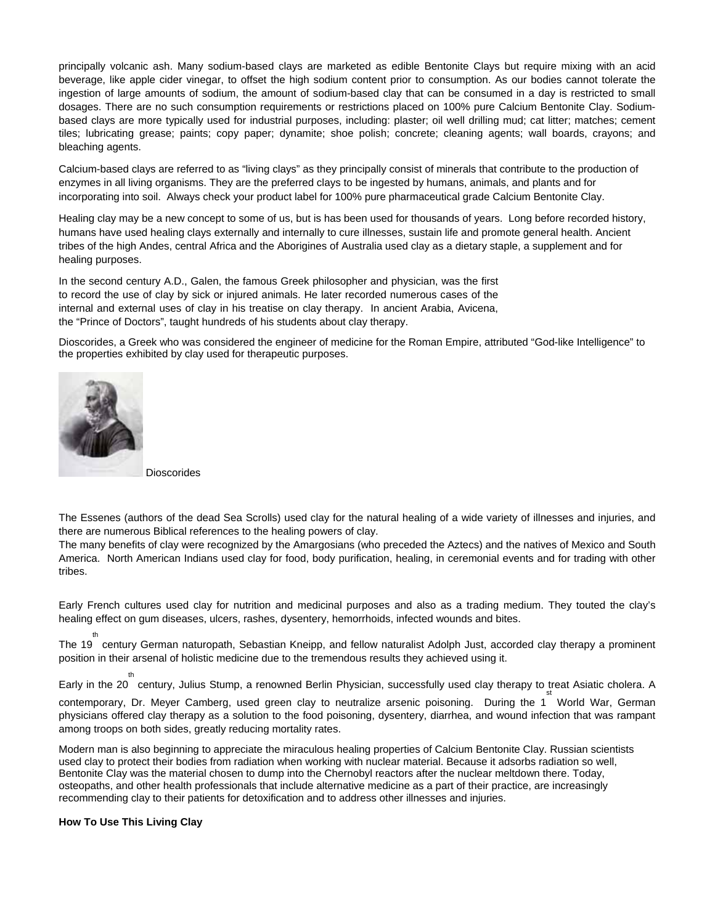principally volcanic ash. Many sodium-based clays are marketed as edible Bentonite Clays but require mixing with an acid beverage, like apple cider vinegar, to offset the high sodium content prior to consumption. As our bodies cannot tolerate the ingestion of large amounts of sodium, the amount of sodium-based clay that can be consumed in a day is restricted to small dosages. There are no such consumption requirements or restrictions placed on 100% pure Calcium Bentonite Clay. Sodiumbased clays are more typically used for industrial purposes, including: plaster; oil well drilling mud; cat litter; matches; cement tiles; lubricating grease; paints; copy paper; dynamite; shoe polish; concrete; cleaning agents; wall boards, crayons; and bleaching agents.

Calcium-based clays are referred to as "living clays" as they principally consist of minerals that contribute to the production of enzymes in all living organisms. They are the preferred clays to be ingested by humans, animals, and plants and for incorporating into soil. Always check your product label for 100% pure pharmaceutical grade Calcium Bentonite Clay.

Healing clay may be a new concept to some of us, but is has been used for thousands of years. Long before recorded history, humans have used healing clays externally and internally to cure illnesses, sustain life and promote general health. Ancient tribes of the high Andes, central Africa and the Aborigines of Australia used clay as a dietary staple, a supplement and for healing purposes.

In the second century A.D., Galen, the famous Greek philosopher and physician, was the first to record the use of clay by sick or injured animals. He later recorded numerous cases of the internal and external uses of clay in his treatise on clay therapy. In ancient Arabia, Avicena, the "Prince of Doctors", taught hundreds of his students about clay therapy.

Dioscorides, a Greek who was considered the engineer of medicine for the Roman Empire, attributed "God-like Intelligence" to the properties exhibited by clay used for therapeutic purposes.



**Dioscorides** 

The Essenes (authors of the dead Sea Scrolls) used clay for the natural healing of a wide variety of illnesses and injuries, and there are numerous Biblical references to the healing powers of clay.

The many benefits of clay were recognized by the Amargosians (who preceded the Aztecs) and the natives of Mexico and South America. North American Indians used clay for food, body purification, healing, in ceremonial events and for trading with other tribes.

Early French cultures used clay for nutrition and medicinal purposes and also as a trading medium. They touted the clay's healing effect on gum diseases, ulcers, rashes, dysentery, hemorrhoids, infected wounds and bites.

The 19 th century German naturopath, Sebastian Kneipp, and fellow naturalist Adolph Just, accorded clay therapy a prominent position in their arsenal of holistic medicine due to the tremendous results they achieved using it.

th<br>Early in the 20 century, Julius Stump, a renowned Berlin Physician, successfully used clay therapy to treat Asiatic cholera. A

contemporary, Dr. Meyer Camberg, used green clay to neutralize arsenic poisoning. During the 1 World War, German physicians offered clay therapy as a solution to the food poisoning, dysentery, diarrhea, and wound infection that was rampant among troops on both sides, greatly reducing mortality rates.

Modern man is also beginning to appreciate the miraculous healing properties of Calcium Bentonite Clay. Russian scientists used clay to protect their bodies from radiation when working with nuclear material. Because it adsorbs radiation so well, Bentonite Clay was the material chosen to dump into the Chernobyl reactors after the nuclear meltdown there. Today, osteopaths, and other health professionals that include alternative medicine as a part of their practice, are increasingly recommending clay to their patients for detoxification and to address other illnesses and injuries.

# **How To Use This Living Clay**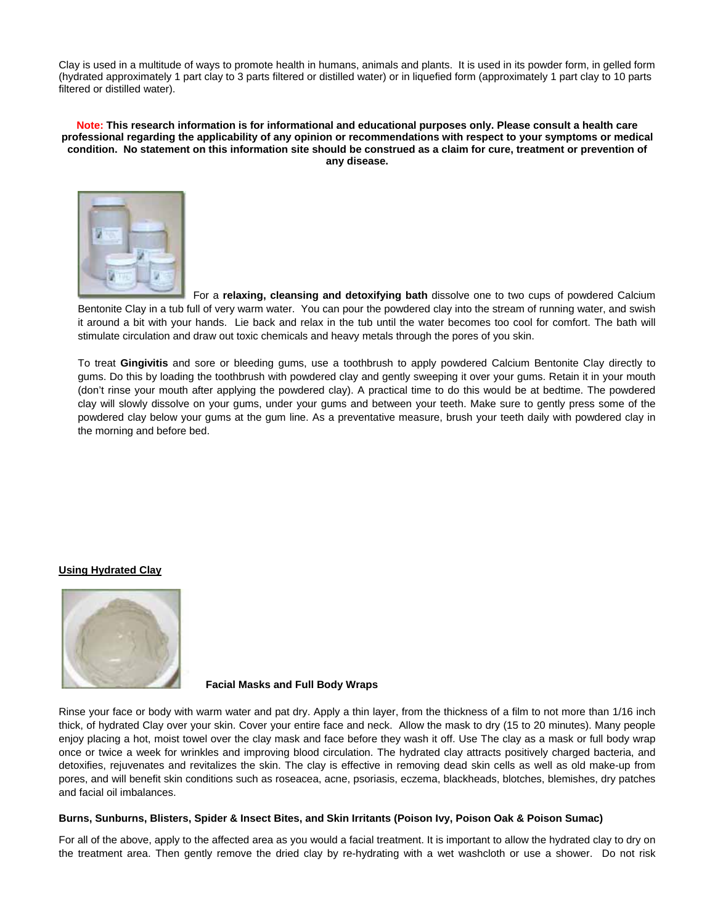Clay is used in a multitude of ways to promote health in humans, animals and plants. It is used in its powder form, in gelled form (hydrated approximately 1 part clay to 3 parts filtered or distilled water) or in liquefied form (approximately 1 part clay to 10 parts filtered or distilled water).

## **Note: This research information is for informational and educational purposes only. Please consult a health care professional regarding the applicability of any opinion or recommendations with respect to your symptoms or medical condition. No statement on this information site should be construed as a claim for cure, treatment or prevention of any disease.**



 For a **relaxing, cleansing and detoxifying bath** dissolve one to two cups of powdered Calcium Bentonite Clay in a tub full of very warm water. You can pour the powdered clay into the stream of running water, and swish it around a bit with your hands. Lie back and relax in the tub until the water becomes too cool for comfort. The bath will stimulate circulation and draw out toxic chemicals and heavy metals through the pores of you skin.

To treat **Gingivitis** and sore or bleeding gums, use a toothbrush to apply powdered Calcium Bentonite Clay directly to gums. Do this by loading the toothbrush with powdered clay and gently sweeping it over your gums. Retain it in your mouth (don't rinse your mouth after applying the powdered clay). A practical time to do this would be at bedtime. The powdered clay will slowly dissolve on your gums, under your gums and between your teeth. Make sure to gently press some of the powdered clay below your gums at the gum line. As a preventative measure, brush your teeth daily with powdered clay in the morning and before bed.

# **Using Hydrated Clay**



#### **Facial Masks and Full Body Wraps**

Rinse your face or body with warm water and pat dry. Apply a thin layer, from the thickness of a film to not more than 1/16 inch thick, of hydrated Clay over your skin. Cover your entire face and neck. Allow the mask to dry (15 to 20 minutes). Many people enjoy placing a hot, moist towel over the clay mask and face before they wash it off. Use The clay as a mask or full body wrap once or twice a week for wrinkles and improving blood circulation. The hydrated clay attracts positively charged bacteria, and detoxifies, rejuvenates and revitalizes the skin. The clay is effective in removing dead skin cells as well as old make-up from pores, and will benefit skin conditions such as roseacea, acne, psoriasis, eczema, blackheads, blotches, blemishes, dry patches and facial oil imbalances.

#### **Burns, Sunburns, Blisters, Spider & Insect Bites, and Skin Irritants (Poison Ivy, Poison Oak & Poison Sumac)**

For all of the above, apply to the affected area as you would a facial treatment. It is important to allow the hydrated clay to dry on the treatment area. Then gently remove the dried clay by re-hydrating with a wet washcloth or use a shower. Do not risk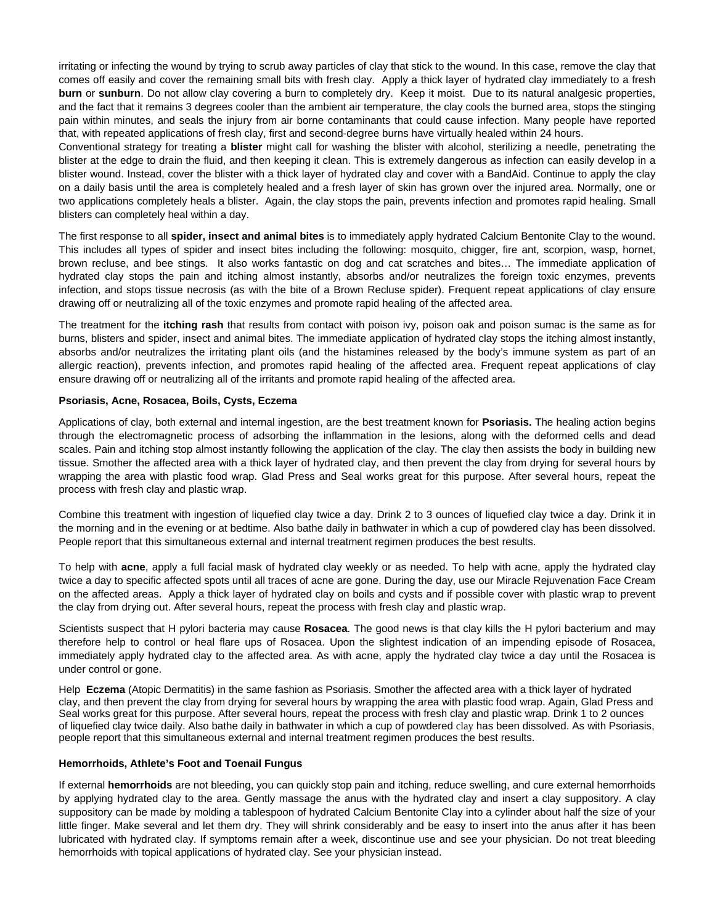irritating or infecting the wound by trying to scrub away particles of clay that stick to the wound. In this case, remove the clay that comes off easily and cover the remaining small bits with fresh clay. Apply a thick layer of hydrated clay immediately to a fresh **burn** or **sunburn**. Do not allow clay covering a burn to completely dry. Keep it moist. Due to its natural analgesic properties, and the fact that it remains 3 degrees cooler than the ambient air temperature, the clay cools the burned area, stops the stinging pain within minutes, and seals the injury from air borne contaminants that could cause infection. Many people have reported that, with repeated applications of fresh clay, first and second-degree burns have virtually healed within 24 hours.

Conventional strategy for treating a **blister** might call for washing the blister with alcohol, sterilizing a needle, penetrating the blister at the edge to drain the fluid, and then keeping it clean. This is extremely dangerous as infection can easily develop in a blister wound. Instead, cover the blister with a thick layer of hydrated clay and cover with a BandAid. Continue to apply the clay on a daily basis until the area is completely healed and a fresh layer of skin has grown over the injured area. Normally, one or two applications completely heals a blister. Again, the clay stops the pain, prevents infection and promotes rapid healing. Small blisters can completely heal within a day.

The first response to all **spider, insect and animal bites** is to immediately apply hydrated Calcium Bentonite Clay to the wound. This includes all types of spider and insect bites including the following: mosquito, chigger, fire ant, scorpion, wasp, hornet, brown recluse, and bee stings. It also works fantastic on dog and cat scratches and bites… The immediate application of hydrated clay stops the pain and itching almost instantly, absorbs and/or neutralizes the foreign toxic enzymes, prevents infection, and stops tissue necrosis (as with the bite of a Brown Recluse spider). Frequent repeat applications of clay ensure drawing off or neutralizing all of the toxic enzymes and promote rapid healing of the affected area.

The treatment for the **itching rash** that results from contact with poison ivy, poison oak and poison sumac is the same as for burns, blisters and spider, insect and animal bites. The immediate application of hydrated clay stops the itching almost instantly, absorbs and/or neutralizes the irritating plant oils (and the histamines released by the body's immune system as part of an allergic reaction), prevents infection, and promotes rapid healing of the affected area. Frequent repeat applications of clay ensure drawing off or neutralizing all of the irritants and promote rapid healing of the affected area.

## **Psoriasis, Acne, Rosacea, Boils, Cysts, Eczema**

Applications of clay, both external and internal ingestion, are the best treatment known for **Psoriasis.** The healing action begins through the electromagnetic process of adsorbing the inflammation in the lesions, along with the deformed cells and dead scales. Pain and itching stop almost instantly following the application of the clay. The clay then assists the body in building new tissue. Smother the affected area with a thick layer of hydrated clay, and then prevent the clay from drying for several hours by wrapping the area with plastic food wrap. Glad Press and Seal works great for this purpose. After several hours, repeat the process with fresh clay and plastic wrap.

Combine this treatment with ingestion of liquefied clay twice a day. Drink 2 to 3 ounces of liquefied clay twice a day. Drink it in the morning and in the evening or at bedtime. Also bathe daily in bathwater in which a cup of powdered clay has been dissolved. People report that this simultaneous external and internal treatment regimen produces the best results.

To help with **acne**, apply a full facial mask of hydrated clay weekly or as needed. To help with acne, apply the hydrated clay twice a day to specific affected spots until all traces of acne are gone. During the day, use our Miracle Rejuvenation Face Cream on the affected areas. Apply a thick layer of hydrated clay on boils and cysts and if possible cover with plastic wrap to prevent the clay from drying out. After several hours, repeat the process with fresh clay and plastic wrap.

Scientists suspect that H pylori bacteria may cause **Rosacea**. The good news is that clay kills the H pylori bacterium and may therefore help to control or heal flare ups of Rosacea. Upon the slightest indication of an impending episode of Rosacea, immediately apply hydrated clay to the affected area. As with acne, apply the hydrated clay twice a day until the Rosacea is under control or gone.

Help **Eczema** (Atopic Dermatitis) in the same fashion as Psoriasis. Smother the affected area with a thick layer of hydrated clay, and then prevent the clay from drying for several hours by wrapping the area with plastic food wrap. Again, Glad Press and Seal works great for this purpose. After several hours, repeat the process with fresh clay and plastic wrap. Drink 1 to 2 ounces of liquefied clay twice daily. Also bathe daily in bathwater in which a cup of powdered clay has been dissolved. As with Psoriasis, people report that this simultaneous external and internal treatment regimen produces the best results.

# **Hemorrhoids, Athlete's Foot and Toenail Fungus**

If external **hemorrhoids** are not bleeding, you can quickly stop pain and itching, reduce swelling, and cure external hemorrhoids by applying hydrated clay to the area. Gently massage the anus with the hydrated clay and insert a clay suppository. A clay suppository can be made by molding a tablespoon of hydrated Calcium Bentonite Clay into a cylinder about half the size of your little finger. Make several and let them dry. They will shrink considerably and be easy to insert into the anus after it has been lubricated with hydrated clay. If symptoms remain after a week, discontinue use and see your physician. Do not treat bleeding hemorrhoids with topical applications of hydrated clay. See your physician instead.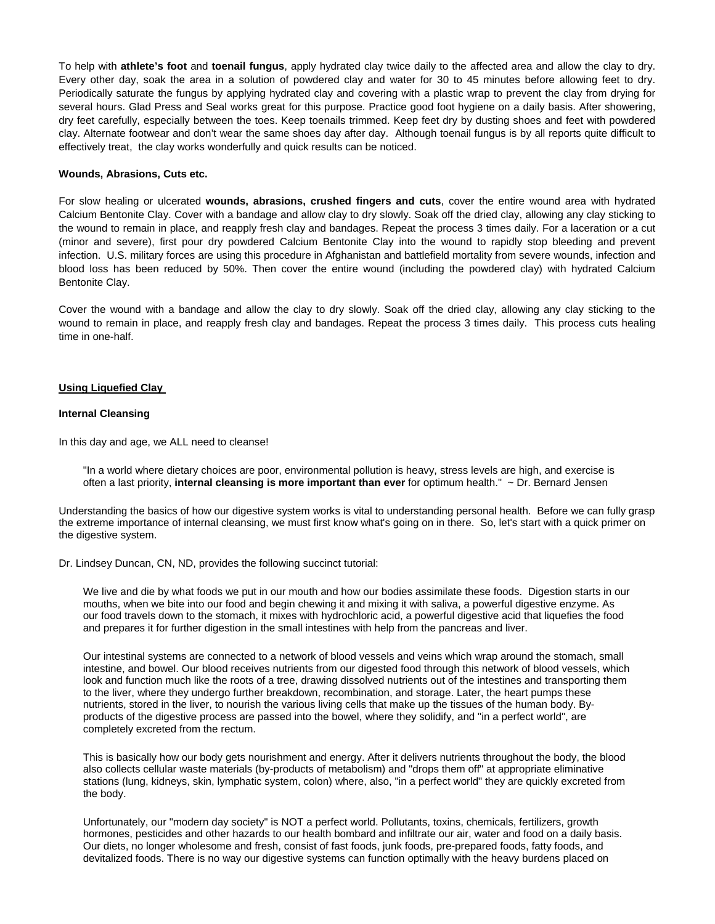To help with **athlete's foot** and **toenail fungus**, apply hydrated clay twice daily to the affected area and allow the clay to dry. Every other day, soak the area in a solution of powdered clay and water for 30 to 45 minutes before allowing feet to dry. Periodically saturate the fungus by applying hydrated clay and covering with a plastic wrap to prevent the clay from drying for several hours. Glad Press and Seal works great for this purpose. Practice good foot hygiene on a daily basis. After showering, dry feet carefully, especially between the toes. Keep toenails trimmed. Keep feet dry by dusting shoes and feet with powdered clay. Alternate footwear and don't wear the same shoes day after day. Although toenail fungus is by all reports quite difficult to effectively treat, the clay works wonderfully and quick results can be noticed.

## **Wounds, Abrasions, Cuts etc.**

For slow healing or ulcerated **wounds, abrasions, crushed fingers and cuts**, cover the entire wound area with hydrated Calcium Bentonite Clay. Cover with a bandage and allow clay to dry slowly. Soak off the dried clay, allowing any clay sticking to the wound to remain in place, and reapply fresh clay and bandages. Repeat the process 3 times daily. For a laceration or a cut (minor and severe), first pour dry powdered Calcium Bentonite Clay into the wound to rapidly stop bleeding and prevent infection. U.S. military forces are using this procedure in Afghanistan and battlefield mortality from severe wounds, infection and blood loss has been reduced by 50%. Then cover the entire wound (including the powdered clay) with hydrated Calcium Bentonite Clay.

Cover the wound with a bandage and allow the clay to dry slowly. Soak off the dried clay, allowing any clay sticking to the wound to remain in place, and reapply fresh clay and bandages. Repeat the process 3 times daily. This process cuts healing time in one-half.

## **Using Liquefied Clay**

## **Internal Cleansing**

In this day and age, we ALL need to cleanse!

"In a world where dietary choices are poor, environmental pollution is heavy, stress levels are high, and exercise is often a last priority, **internal cleansing is more important than ever** for optimum health." ~ Dr. Bernard Jensen

Understanding the basics of how our digestive system works is vital to understanding personal health. Before we can fully grasp the extreme importance of internal cleansing, we must first know what's going on in there. So, let's start with a quick primer on the digestive system.

Dr. Lindsey Duncan, CN, ND, provides the following succinct tutorial:

We live and die by what foods we put in our mouth and how our bodies assimilate these foods. Digestion starts in our mouths, when we bite into our food and begin chewing it and mixing it with saliva, a powerful digestive enzyme. As our food travels down to the stomach, it mixes with hydrochloric acid, a powerful digestive acid that liquefies the food and prepares it for further digestion in the small intestines with help from the pancreas and liver.

Our intestinal systems are connected to a network of blood vessels and veins which wrap around the stomach, small intestine, and bowel. Our blood receives nutrients from our digested food through this network of blood vessels, which look and function much like the roots of a tree, drawing dissolved nutrients out of the intestines and transporting them to the liver, where they undergo further breakdown, recombination, and storage. Later, the heart pumps these nutrients, stored in the liver, to nourish the various living cells that make up the tissues of the human body. Byproducts of the digestive process are passed into the bowel, where they solidify, and "in a perfect world", are completely excreted from the rectum.

This is basically how our body gets nourishment and energy. After it delivers nutrients throughout the body, the blood also collects cellular waste materials (by-products of metabolism) and "drops them off" at appropriate eliminative stations (lung, kidneys, skin, lymphatic system, colon) where, also, "in a perfect world" they are quickly excreted from the body.

Unfortunately, our "modern day society" is NOT a perfect world. Pollutants, toxins, chemicals, fertilizers, growth hormones, pesticides and other hazards to our health bombard and infiltrate our air, water and food on a daily basis. Our diets, no longer wholesome and fresh, consist of fast foods, junk foods, pre-prepared foods, fatty foods, and devitalized foods. There is no way our digestive systems can function optimally with the heavy burdens placed on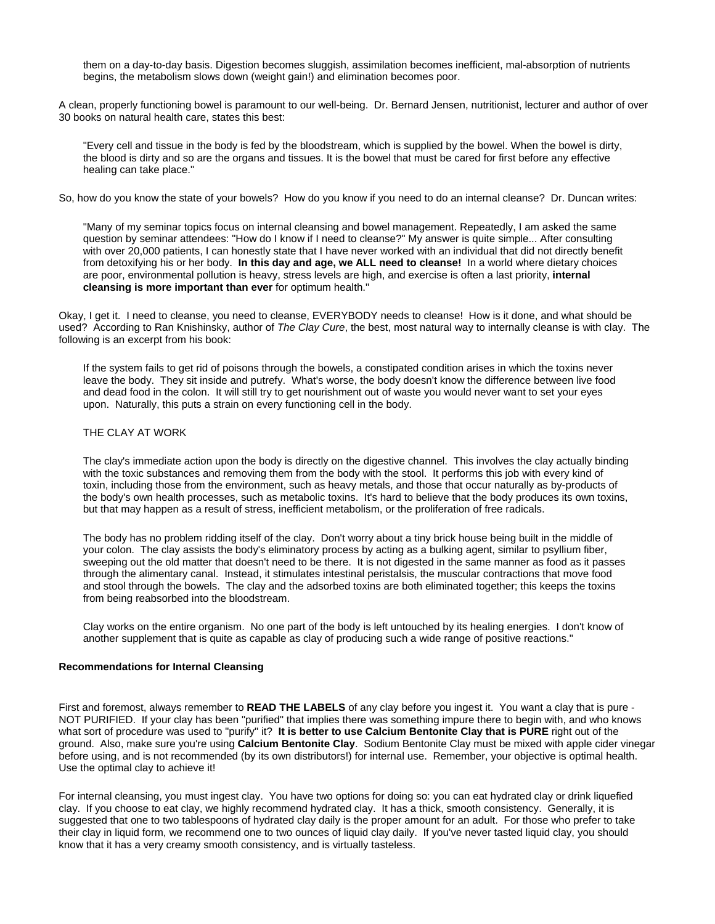them on a day-to-day basis. Digestion becomes sluggish, assimilation becomes inefficient, mal-absorption of nutrients begins, the metabolism slows down (weight gain!) and elimination becomes poor.

A clean, properly functioning bowel is paramount to our well-being. Dr. Bernard Jensen, nutritionist, lecturer and author of over 30 books on natural health care, states this best:

"Every cell and tissue in the body is fed by the bloodstream, which is supplied by the bowel. When the bowel is dirty, the blood is dirty and so are the organs and tissues. It is the bowel that must be cared for first before any effective healing can take place."

So, how do you know the state of your bowels? How do you know if you need to do an internal cleanse? Dr. Duncan writes:

"Many of my seminar topics focus on internal cleansing and bowel management. Repeatedly, I am asked the same question by seminar attendees: "How do I know if I need to cleanse?" My answer is quite simple... After consulting with over 20,000 patients, I can honestly state that I have never worked with an individual that did not directly benefit from detoxifying his or her body. **In this day and age, we ALL need to cleanse!** In a world where dietary choices are poor, environmental pollution is heavy, stress levels are high, and exercise is often a last priority, **internal cleansing is more important than ever** for optimum health."

Okay, I get it. I need to cleanse, you need to cleanse, EVERYBODY needs to cleanse! How is it done, and what should be used? According to Ran Knishinsky, author of *The Clay Cure*, the best, most natural way to internally cleanse is with clay. The following is an excerpt from his book:

If the system fails to get rid of poisons through the bowels, a constipated condition arises in which the toxins never leave the body. They sit inside and putrefy. What's worse, the body doesn't know the difference between live food and dead food in the colon. It will still try to get nourishment out of waste you would never want to set your eyes upon. Naturally, this puts a strain on every functioning cell in the body.

# THE CLAY AT WORK

The clay's immediate action upon the body is directly on the digestive channel. This involves the clay actually binding with the toxic substances and removing them from the body with the stool. It performs this job with every kind of toxin, including those from the environment, such as heavy metals, and those that occur naturally as by-products of the body's own health processes, such as metabolic toxins. It's hard to believe that the body produces its own toxins, but that may happen as a result of stress, inefficient metabolism, or the proliferation of free radicals.

The body has no problem ridding itself of the clay. Don't worry about a tiny brick house being built in the middle of your colon. The clay assists the body's eliminatory process by acting as a bulking agent, similar to psyllium fiber, sweeping out the old matter that doesn't need to be there. It is not digested in the same manner as food as it passes through the alimentary canal. Instead, it stimulates intestinal peristalsis, the muscular contractions that move food and stool through the bowels. The clay and the adsorbed toxins are both eliminated together; this keeps the toxins from being reabsorbed into the bloodstream.

Clay works on the entire organism. No one part of the body is left untouched by its healing energies. I don't know of another supplement that is quite as capable as clay of producing such a wide range of positive reactions."

#### **Recommendations for Internal Cleansing**

First and foremost, always remember to **READ THE LABELS** of any clay before you ingest it. You want a clay that is pure - NOT PURIFIED. If your clay has been "purified" that implies there was something impure there to begin with, and who knows what sort of procedure was used to "purify" it? **It is better to use Calcium Bentonite Clay that is PURE** right out of the ground. Also, make sure you're using **Calcium Bentonite Clay**. Sodium Bentonite Clay must be mixed with apple cider vinegar before using, and is not recommended (by its own distributors!) for internal use. Remember, your objective is optimal health. Use the optimal clay to achieve it!

For internal cleansing, you must ingest clay. You have two options for doing so: you can eat hydrated clay or drink liquefied clay. If you choose to eat clay, we highly recommend hydrated clay. It has a thick, smooth consistency. Generally, it is suggested that one to two tablespoons of hydrated clay daily is the proper amount for an adult. For those who prefer to take their clay in liquid form, we recommend one to two ounces of liquid clay daily. If you've never tasted liquid clay, you should know that it has a very creamy smooth consistency, and is virtually tasteless.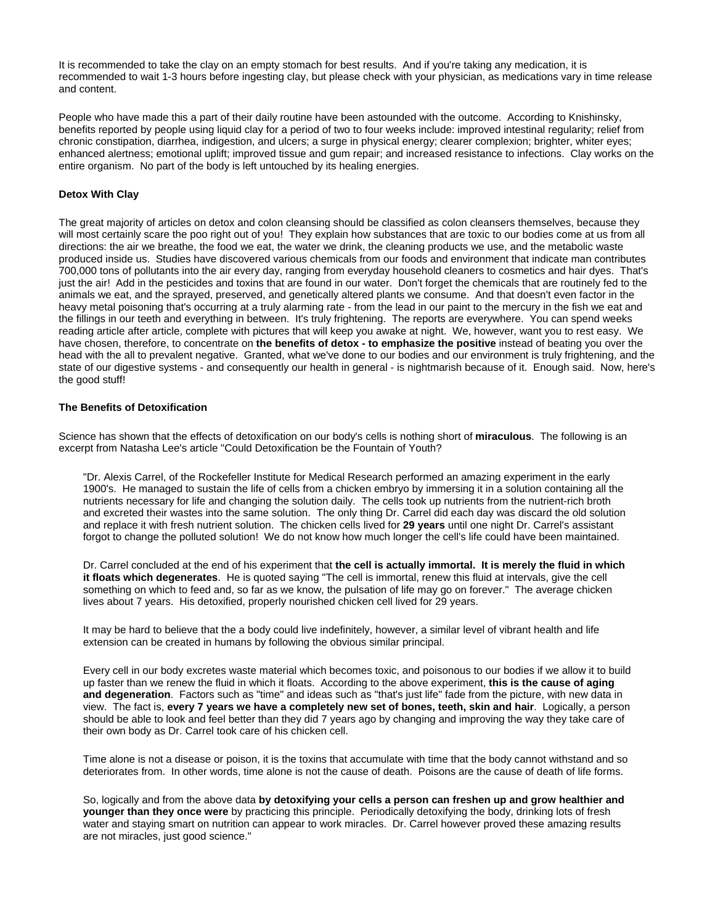It is recommended to take the clay on an empty stomach for best results. And if you're taking any medication, it is recommended to wait 1-3 hours before ingesting clay, but please check with your physician, as medications vary in time release and content.

People who have made this a part of their daily routine have been astounded with the outcome. According to Knishinsky, benefits reported by people using liquid clay for a period of two to four weeks include: improved intestinal regularity; relief from chronic constipation, diarrhea, indigestion, and ulcers; a surge in physical energy; clearer complexion; brighter, whiter eyes; enhanced alertness; emotional uplift; improved tissue and gum repair; and increased resistance to infections. Clay works on the entire organism. No part of the body is left untouched by its healing energies.

# **Detox With Clay**

The great majority of articles on detox and colon cleansing should be classified as colon cleansers themselves, because they will most certainly scare the poo right out of you! They explain how substances that are toxic to our bodies come at us from all directions: the air we breathe, the food we eat, the water we drink, the cleaning products we use, and the metabolic waste produced inside us. Studies have discovered various chemicals from our foods and environment that indicate man contributes 700,000 tons of pollutants into the air every day, ranging from everyday household cleaners to cosmetics and hair dyes. That's just the air! Add in the pesticides and toxins that are found in our water. Don't forget the chemicals that are routinely fed to the animals we eat, and the sprayed, preserved, and genetically altered plants we consume. And that doesn't even factor in the heavy metal poisoning that's occurring at a truly alarming rate - from the lead in our paint to the mercury in the fish we eat and the fillings in our teeth and everything in between. It's truly frightening. The reports are everywhere. You can spend weeks reading article after article, complete with pictures that will keep you awake at night. We, however, want you to rest easy. We have chosen, therefore, to concentrate on **the benefits of detox - to emphasize the positive** instead of beating you over the head with the all to prevalent negative. Granted, what we've done to our bodies and our environment is truly frightening, and the state of our digestive systems - and consequently our health in general - is nightmarish because of it. Enough said. Now, here's the good stuff!

# **The Benefits of Detoxification**

Science has shown that the effects of detoxification on our body's cells is nothing short of **miraculous**. The following is an excerpt from Natasha Lee's article "Could Detoxification be the Fountain of Youth?

"Dr. Alexis Carrel, of the Rockefeller Institute for Medical Research performed an amazing experiment in the early 1900's. He managed to sustain the life of cells from a chicken embryo by immersing it in a solution containing all the nutrients necessary for life and changing the solution daily. The cells took up nutrients from the nutrient-rich broth and excreted their wastes into the same solution. The only thing Dr. Carrel did each day was discard the old solution and replace it with fresh nutrient solution. The chicken cells lived for **29 years** until one night Dr. Carrel's assistant forgot to change the polluted solution! We do not know how much longer the cell's life could have been maintained.

Dr. Carrel concluded at the end of his experiment that **the cell is actually immortal. It is merely the fluid in which it floats which degenerates**. He is quoted saying "The cell is immortal, renew this fluid at intervals, give the cell something on which to feed and, so far as we know, the pulsation of life may go on forever." The average chicken lives about 7 years. His detoxified, properly nourished chicken cell lived for 29 years.

It may be hard to believe that the a body could live indefinitely, however, a similar level of vibrant health and life extension can be created in humans by following the obvious similar principal.

Every cell in our body excretes waste material which becomes toxic, and poisonous to our bodies if we allow it to build up faster than we renew the fluid in which it floats. According to the above experiment, **this is the cause of aging and degeneration**. Factors such as "time" and ideas such as "that's just life" fade from the picture, with new data in view. The fact is, **every 7 years we have a completely new set of bones, teeth, skin and hair**. Logically, a person should be able to look and feel better than they did 7 years ago by changing and improving the way they take care of their own body as Dr. Carrel took care of his chicken cell.

Time alone is not a disease or poison, it is the toxins that accumulate with time that the body cannot withstand and so deteriorates from. In other words, time alone is not the cause of death. Poisons are the cause of death of life forms.

So, logically and from the above data **by detoxifying your cells a person can freshen up and grow healthier and younger than they once were** by practicing this principle. Periodically detoxifying the body, drinking lots of fresh water and staying smart on nutrition can appear to work miracles. Dr. Carrel however proved these amazing results are not miracles, just good science."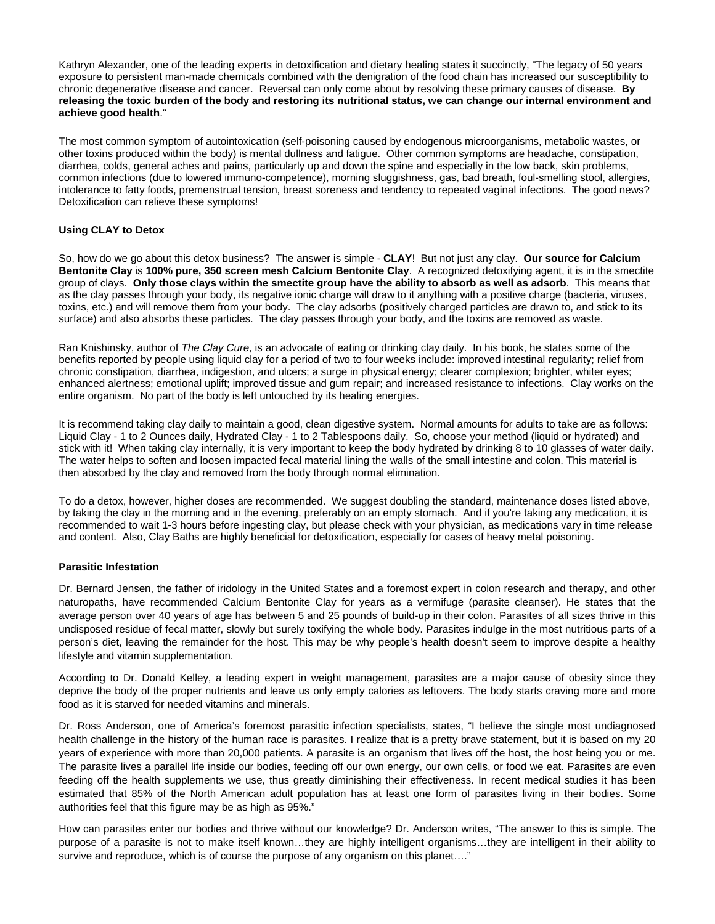Kathryn Alexander, one of the leading experts in detoxification and dietary healing states it succinctly, "The legacy of 50 years exposure to persistent man-made chemicals combined with the denigration of the food chain has increased our susceptibility to chronic degenerative disease and cancer. Reversal can only come about by resolving these primary causes of disease. **By releasing the toxic burden of the body and restoring its nutritional status, we can change our internal environment and achieve good health**."

The most common symptom of autointoxication (self-poisoning caused by endogenous microorganisms, metabolic wastes, or other toxins produced within the body) is mental dullness and fatigue. Other common symptoms are headache, constipation, diarrhea, colds, general aches and pains, particularly up and down the spine and especially in the low back, skin problems, common infections (due to lowered immuno-competence), morning sluggishness, gas, bad breath, foul-smelling stool, allergies, intolerance to fatty foods, premenstrual tension, breast soreness and tendency to repeated vaginal infections. The good news? Detoxification can relieve these symptoms!

# **Using CLAY to Detox**

So, how do we go about this detox business? The answer is simple - **CLAY**! But not just any clay. **Our source for Calcium Bentonite Clay** is **100% pure, 350 screen mesh Calcium Bentonite Clay**. A recognized detoxifying agent, it is in the smectite group of clays. **Only those clays within the smectite group have the ability to absorb as well as adsorb**. This means that as the clay passes through your body, its negative ionic charge will draw to it anything with a positive charge (bacteria, viruses, toxins, etc.) and will remove them from your body. The clay adsorbs (positively charged particles are drawn to, and stick to its surface) and also absorbs these particles. The clay passes through your body, and the toxins are removed as waste.

Ran Knishinsky, author of *The Clay Cure*, is an advocate of eating or drinking clay daily. In his book, he states some of the benefits reported by people using liquid clay for a period of two to four weeks include: improved intestinal regularity; relief from chronic constipation, diarrhea, indigestion, and ulcers; a surge in physical energy; clearer complexion; brighter, whiter eyes; enhanced alertness; emotional uplift; improved tissue and gum repair; and increased resistance to infections. Clay works on the entire organism. No part of the body is left untouched by its healing energies.

It is recommend taking clay daily to maintain a good, clean digestive system. Normal amounts for adults to take are as follows: Liquid Clay - 1 to 2 Ounces daily, Hydrated Clay - 1 to 2 Tablespoons daily. So, choose your method (liquid or hydrated) and stick with it! When taking clay internally, it is very important to keep the body hydrated by drinking 8 to 10 glasses of water daily. The water helps to soften and loosen impacted fecal material lining the walls of the small intestine and colon. This material is then absorbed by the clay and removed from the body through normal elimination.

To do a detox, however, higher doses are recommended. We suggest doubling the standard, maintenance doses listed above, by taking the clay in the morning and in the evening, preferably on an empty stomach. And if you're taking any medication, it is recommended to wait 1-3 hours before ingesting clay, but please check with your physician, as medications vary in time release and content. Also, Clay Baths are highly beneficial for detoxification, especially for cases of heavy metal poisoning.

# **Parasitic Infestation**

Dr. Bernard Jensen, the father of iridology in the United States and a foremost expert in colon research and therapy, and other naturopaths, have recommended Calcium Bentonite Clay for years as a vermifuge (parasite cleanser). He states that the average person over 40 years of age has between 5 and 25 pounds of build-up in their colon. Parasites of all sizes thrive in this undisposed residue of fecal matter, slowly but surely toxifying the whole body. Parasites indulge in the most nutritious parts of a person's diet, leaving the remainder for the host. This may be why people's health doesn't seem to improve despite a healthy lifestyle and vitamin supplementation.

According to Dr. Donald Kelley, a leading expert in weight management, parasites are a major cause of obesity since they deprive the body of the proper nutrients and leave us only empty calories as leftovers. The body starts craving more and more food as it is starved for needed vitamins and minerals.

Dr. Ross Anderson, one of America's foremost parasitic infection specialists, states, "I believe the single most undiagnosed health challenge in the history of the human race is parasites. I realize that is a pretty brave statement, but it is based on my 20 years of experience with more than 20,000 patients. A parasite is an organism that lives off the host, the host being you or me. The parasite lives a parallel life inside our bodies, feeding off our own energy, our own cells, or food we eat. Parasites are even feeding off the health supplements we use, thus greatly diminishing their effectiveness. In recent medical studies it has been estimated that 85% of the North American adult population has at least one form of parasites living in their bodies. Some authorities feel that this figure may be as high as 95%."

How can parasites enter our bodies and thrive without our knowledge? Dr. Anderson writes, "The answer to this is simple. The purpose of a parasite is not to make itself known…they are highly intelligent organisms…they are intelligent in their ability to survive and reproduce, which is of course the purpose of any organism on this planet…."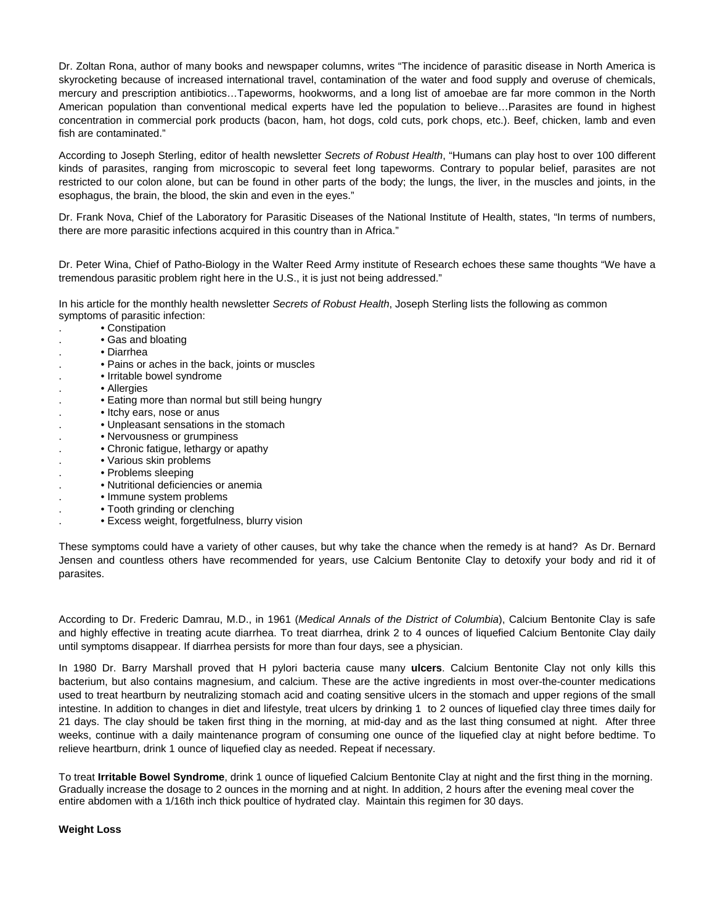Dr. Zoltan Rona, author of many books and newspaper columns, writes "The incidence of parasitic disease in North America is skyrocketing because of increased international travel, contamination of the water and food supply and overuse of chemicals, mercury and prescription antibiotics…Tapeworms, hookworms, and a long list of amoebae are far more common in the North American population than conventional medical experts have led the population to believe…Parasites are found in highest concentration in commercial pork products (bacon, ham, hot dogs, cold cuts, pork chops, etc.). Beef, chicken, lamb and even fish are contaminated."

According to Joseph Sterling, editor of health newsletter *Secrets of Robust Health*, "Humans can play host to over 100 different kinds of parasites, ranging from microscopic to several feet long tapeworms. Contrary to popular belief, parasites are not restricted to our colon alone, but can be found in other parts of the body; the lungs, the liver, in the muscles and joints, in the esophagus, the brain, the blood, the skin and even in the eyes."

Dr. Frank Nova, Chief of the Laboratory for Parasitic Diseases of the National Institute of Health, states, "In terms of numbers, there are more parasitic infections acquired in this country than in Africa."

Dr. Peter Wina, Chief of Patho-Biology in the Walter Reed Army institute of Research echoes these same thoughts "We have a tremendous parasitic problem right here in the U.S., it is just not being addressed."

In his article for the monthly health newsletter *Secrets of Robust Health*, Joseph Sterling lists the following as common symptoms of parasitic infection:

- . Constipation
- . Gas and bloating
- . Diarrhea
- . Pains or aches in the back, joints or muscles
- . Irritable bowel syndrome
- . Allergies
- . Eating more than normal but still being hungry
- . Itchy ears, nose or anus
- . Unpleasant sensations in the stomach
- . Nervousness or grumpiness
- . Chronic fatigue, lethargy or apathy
- . Various skin problems
- . Problems sleeping
- . Nutritional deficiencies or anemia
- . Immune system problems
- . Tooth grinding or clenching
- . Excess weight, forgetfulness, blurry vision

These symptoms could have a variety of other causes, but why take the chance when the remedy is at hand? As Dr. Bernard Jensen and countless others have recommended for years, use Calcium Bentonite Clay to detoxify your body and rid it of parasites.

According to Dr. Frederic Damrau, M.D., in 1961 (*Medical Annals of the District of Columbia*), Calcium Bentonite Clay is safe and highly effective in treating acute diarrhea. To treat diarrhea, drink 2 to 4 ounces of liquefied Calcium Bentonite Clay daily until symptoms disappear. If diarrhea persists for more than four days, see a physician.

In 1980 Dr. Barry Marshall proved that H pylori bacteria cause many **ulcers**. Calcium Bentonite Clay not only kills this bacterium, but also contains magnesium, and calcium. These are the active ingredients in most over-the-counter medications used to treat heartburn by neutralizing stomach acid and coating sensitive ulcers in the stomach and upper regions of the small intestine. In addition to changes in diet and lifestyle, treat ulcers by drinking 1 to 2 ounces of liquefied clay three times daily for 21 days. The clay should be taken first thing in the morning, at mid-day and as the last thing consumed at night. After three weeks, continue with a daily maintenance program of consuming one ounce of the liquefied clay at night before bedtime. To relieve heartburn, drink 1 ounce of liquefied clay as needed. Repeat if necessary.

To treat **Irritable Bowel Syndrome**, drink 1 ounce of liquefied Calcium Bentonite Clay at night and the first thing in the morning. Gradually increase the dosage to 2 ounces in the morning and at night. In addition, 2 hours after the evening meal cover the entire abdomen with a 1/16th inch thick poultice of hydrated clay. Maintain this regimen for 30 days.

#### **Weight Loss**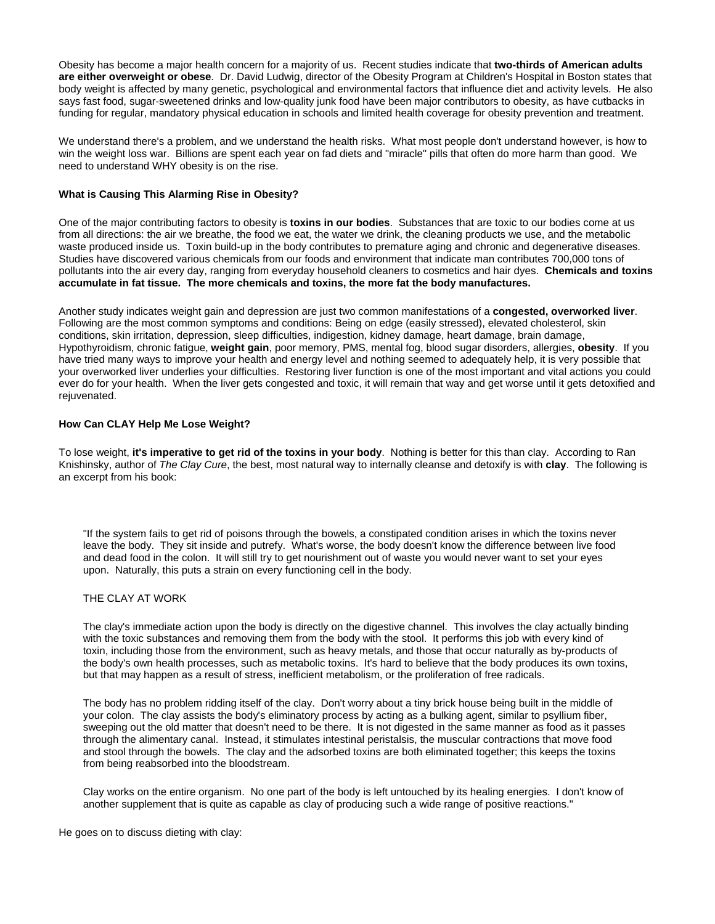Obesity has become a major health concern for a majority of us. Recent studies indicate that **two-thirds of American adults are either overweight or obese**. Dr. David Ludwig, director of the Obesity Program at Children's Hospital in Boston states that body weight is affected by many genetic, psychological and environmental factors that influence diet and activity levels. He also says fast food, sugar-sweetened drinks and low-quality junk food have been major contributors to obesity, as have cutbacks in funding for regular, mandatory physical education in schools and limited health coverage for obesity prevention and treatment.

We understand there's a problem, and we understand the health risks. What most people don't understand however, is how to win the weight loss war. Billions are spent each year on fad diets and "miracle" pills that often do more harm than good. We need to understand WHY obesity is on the rise.

## **What is Causing This Alarming Rise in Obesity?**

One of the major contributing factors to obesity is **toxins in our bodies**. Substances that are toxic to our bodies come at us from all directions: the air we breathe, the food we eat, the water we drink, the cleaning products we use, and the metabolic waste produced inside us. Toxin build-up in the body contributes to premature aging and chronic and degenerative diseases. Studies have discovered various chemicals from our foods and environment that indicate man contributes 700,000 tons of pollutants into the air every day, ranging from everyday household cleaners to cosmetics and hair dyes. **Chemicals and toxins accumulate in fat tissue. The more chemicals and toxins, the more fat the body manufactures.**

Another study indicates weight gain and depression are just two common manifestations of a **congested, overworked liver**. Following are the most common symptoms and conditions: Being on edge (easily stressed), elevated cholesterol, skin conditions, skin irritation, depression, sleep difficulties, indigestion, kidney damage, heart damage, brain damage, Hypothyroidism, chronic fatigue, **weight gain**, poor memory, PMS, mental fog, blood sugar disorders, allergies, **obesity**. If you have tried many ways to improve your health and energy level and nothing seemed to adequately help, it is very possible that your overworked liver underlies your difficulties. Restoring liver function is one of the most important and vital actions you could ever do for your health. When the liver gets congested and toxic, it will remain that way and get worse until it gets detoxified and rejuvenated.

# **How Can CLAY Help Me Lose Weight?**

To lose weight, **it's imperative to get rid of the toxins in your body**. Nothing is better for this than clay. According to Ran Knishinsky, author of *The Clay Cure*, the best, most natural way to internally cleanse and detoxify is with **clay**. The following is an excerpt from his book:

"If the system fails to get rid of poisons through the bowels, a constipated condition arises in which the toxins never leave the body. They sit inside and putrefy. What's worse, the body doesn't know the difference between live food and dead food in the colon. It will still try to get nourishment out of waste you would never want to set your eyes upon. Naturally, this puts a strain on every functioning cell in the body.

# THE CLAY AT WORK

The clay's immediate action upon the body is directly on the digestive channel. This involves the clay actually binding with the toxic substances and removing them from the body with the stool. It performs this job with every kind of toxin, including those from the environment, such as heavy metals, and those that occur naturally as by-products of the body's own health processes, such as metabolic toxins. It's hard to believe that the body produces its own toxins, but that may happen as a result of stress, inefficient metabolism, or the proliferation of free radicals.

The body has no problem ridding itself of the clay. Don't worry about a tiny brick house being built in the middle of your colon. The clay assists the body's eliminatory process by acting as a bulking agent, similar to psyllium fiber, sweeping out the old matter that doesn't need to be there. It is not digested in the same manner as food as it passes through the alimentary canal. Instead, it stimulates intestinal peristalsis, the muscular contractions that move food and stool through the bowels. The clay and the adsorbed toxins are both eliminated together; this keeps the toxins from being reabsorbed into the bloodstream.

Clay works on the entire organism. No one part of the body is left untouched by its healing energies. I don't know of another supplement that is quite as capable as clay of producing such a wide range of positive reactions."

He goes on to discuss dieting with clay: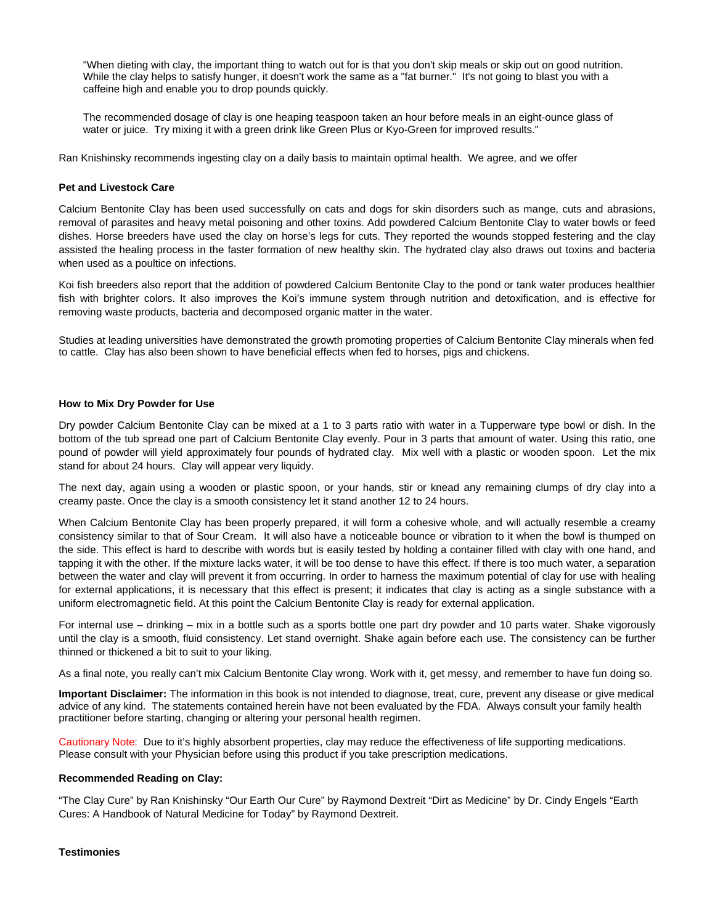"When dieting with clay, the important thing to watch out for is that you don't skip meals or skip out on good nutrition. While the clay helps to satisfy hunger, it doesn't work the same as a "fat burner." It's not going to blast you with a caffeine high and enable you to drop pounds quickly.

The recommended dosage of clay is one heaping teaspoon taken an hour before meals in an eight-ounce glass of water or juice. Try mixing it with a green drink like Green Plus or Kyo-Green for improved results."

Ran Knishinsky recommends ingesting clay on a daily basis to maintain optimal health. We agree, and we offer

## **Pet and Livestock Care**

Calcium Bentonite Clay has been used successfully on cats and dogs for skin disorders such as mange, cuts and abrasions, removal of parasites and heavy metal poisoning and other toxins. Add powdered Calcium Bentonite Clay to water bowls or feed dishes. Horse breeders have used the clay on horse's legs for cuts. They reported the wounds stopped festering and the clay assisted the healing process in the faster formation of new healthy skin. The hydrated clay also draws out toxins and bacteria when used as a poultice on infections.

Koi fish breeders also report that the addition of powdered Calcium Bentonite Clay to the pond or tank water produces healthier fish with brighter colors. It also improves the Koi's immune system through nutrition and detoxification, and is effective for removing waste products, bacteria and decomposed organic matter in the water.

Studies at leading universities have demonstrated the growth promoting properties of Calcium Bentonite Clay minerals when fed to cattle. Clay has also been shown to have beneficial effects when fed to horses, pigs and chickens.

## **How to Mix Dry Powder for Use**

Dry powder Calcium Bentonite Clay can be mixed at a 1 to 3 parts ratio with water in a Tupperware type bowl or dish. In the bottom of the tub spread one part of Calcium Bentonite Clay evenly. Pour in 3 parts that amount of water. Using this ratio, one pound of powder will yield approximately four pounds of hydrated clay. Mix well with a plastic or wooden spoon. Let the mix stand for about 24 hours. Clay will appear very liquidy.

The next day, again using a wooden or plastic spoon, or your hands, stir or knead any remaining clumps of dry clay into a creamy paste. Once the clay is a smooth consistency let it stand another 12 to 24 hours.

When Calcium Bentonite Clay has been properly prepared, it will form a cohesive whole, and will actually resemble a creamy consistency similar to that of Sour Cream. It will also have a noticeable bounce or vibration to it when the bowl is thumped on the side. This effect is hard to describe with words but is easily tested by holding a container filled with clay with one hand, and tapping it with the other. If the mixture lacks water, it will be too dense to have this effect. If there is too much water, a separation between the water and clay will prevent it from occurring. In order to harness the maximum potential of clay for use with healing for external applications, it is necessary that this effect is present; it indicates that clay is acting as a single substance with a uniform electromagnetic field. At this point the Calcium Bentonite Clay is ready for external application.

For internal use – drinking – mix in a bottle such as a sports bottle one part dry powder and 10 parts water. Shake vigorously until the clay is a smooth, fluid consistency. Let stand overnight. Shake again before each use. The consistency can be further thinned or thickened a bit to suit to your liking.

As a final note, you really can't mix Calcium Bentonite Clay wrong. Work with it, get messy, and remember to have fun doing so.

**Important Disclaimer:** The information in this book is not intended to diagnose, treat, cure, prevent any disease or give medical advice of any kind. The statements contained herein have not been evaluated by the FDA. Always consult your family health practitioner before starting, changing or altering your personal health regimen.

Cautionary Note: Due to it's highly absorbent properties, clay may reduce the effectiveness of life supporting medications. Please consult with your Physician before using this product if you take prescription medications.

#### **Recommended Reading on Clay:**

"The Clay Cure" by Ran Knishinsky "Our Earth Our Cure" by Raymond Dextreit "Dirt as Medicine" by Dr. Cindy Engels "Earth Cures: A Handbook of Natural Medicine for Today" by Raymond Dextreit.

#### **Testimonies**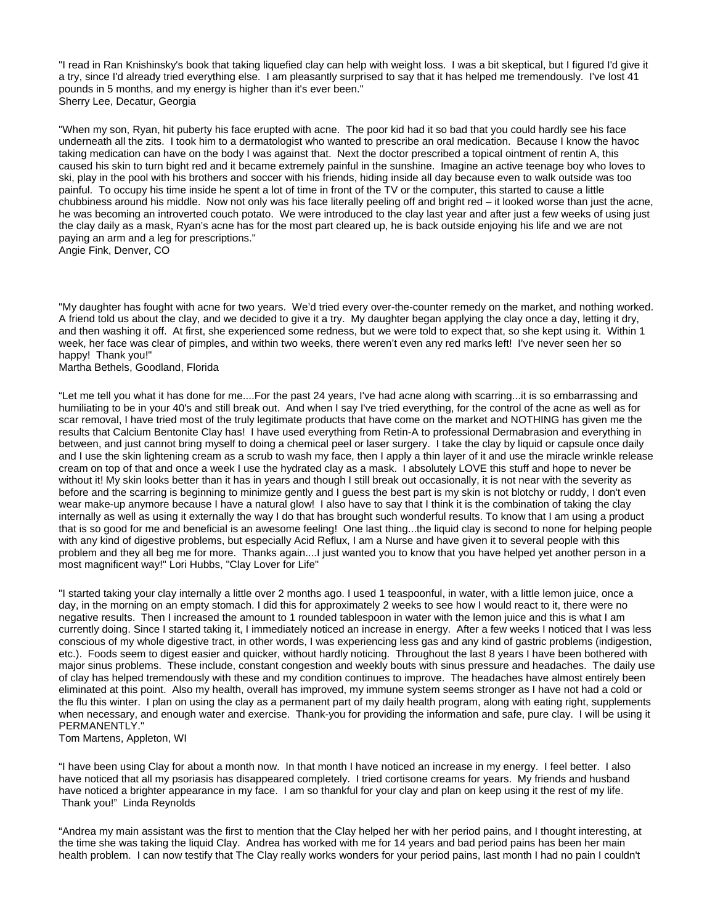"I read in Ran Knishinsky's book that taking liquefied clay can help with weight loss. I was a bit skeptical, but I figured I'd give it a try, since I'd already tried everything else. I am pleasantly surprised to say that it has helped me tremendously. I've lost 41 pounds in 5 months, and my energy is higher than it's ever been." Sherry Lee, Decatur, Georgia

"When my son, Ryan, hit puberty his face erupted with acne. The poor kid had it so bad that you could hardly see his face underneath all the zits. I took him to a dermatologist who wanted to prescribe an oral medication. Because I know the havoc taking medication can have on the body I was against that. Next the doctor prescribed a topical ointment of rentin A, this caused his skin to turn bight red and it became extremely painful in the sunshine. Imagine an active teenage boy who loves to ski, play in the pool with his brothers and soccer with his friends, hiding inside all day because even to walk outside was too painful. To occupy his time inside he spent a lot of time in front of the TV or the computer, this started to cause a little chubbiness around his middle. Now not only was his face literally peeling off and bright red – it looked worse than just the acne, he was becoming an introverted couch potato. We were introduced to the clay last year and after just a few weeks of using just the clay daily as a mask, Ryan's acne has for the most part cleared up, he is back outside enjoying his life and we are not paying an arm and a leg for prescriptions."

Angie Fink, Denver, CO

"My daughter has fought with acne for two years. We'd tried every over-the-counter remedy on the market, and nothing worked. A friend told us about the clay, and we decided to give it a try. My daughter began applying the clay once a day, letting it dry, and then washing it off. At first, she experienced some redness, but we were told to expect that, so she kept using it. Within 1 week, her face was clear of pimples, and within two weeks, there weren't even any red marks left! I've never seen her so happy! Thank you!"

Martha Bethels, Goodland, Florida

"Let me tell you what it has done for me....For the past 24 years, I've had acne along with scarring...it is so embarrassing and humiliating to be in your 40's and still break out. And when I say I've tried everything, for the control of the acne as well as for scar removal, I have tried most of the truly legitimate products that have come on the market and NOTHING has given me the results that Calcium Bentonite Clay has! I have used everything from Retin-A to professional Dermabrasion and everything in between, and just cannot bring myself to doing a chemical peel or laser surgery. I take the clay by liquid or capsule once daily and I use the skin lightening cream as a scrub to wash my face, then I apply a thin layer of it and use the miracle wrinkle release cream on top of that and once a week I use the hydrated clay as a mask. I absolutely LOVE this stuff and hope to never be without it! My skin looks better than it has in years and though I still break out occasionally, it is not near with the severity as before and the scarring is beginning to minimize gently and I guess the best part is my skin is not blotchy or ruddy, I don't even wear make-up anymore because I have a natural glow! I also have to say that I think it is the combination of taking the clay internally as well as using it externally the way I do that has brought such wonderful results. To know that I am using a product that is so good for me and beneficial is an awesome feeling! One last thing...the liquid clay is second to none for helping people with any kind of digestive problems, but especially Acid Reflux, I am a Nurse and have given it to several people with this problem and they all beg me for more. Thanks again....I just wanted you to know that you have helped yet another person in a most magnificent way!" Lori Hubbs, "Clay Lover for Life"

"I started taking your clay internally a little over 2 months ago. I used 1 teaspoonful, in water, with a little lemon juice, once a day, in the morning on an empty stomach. I did this for approximately 2 weeks to see how I would react to it, there were no negative results. Then I increased the amount to 1 rounded tablespoon in water with the lemon juice and this is what I am currently doing. Since I started taking it, I immediately noticed an increase in energy. After a few weeks I noticed that I was less conscious of my whole digestive tract, in other words, I was experiencing less gas and any kind of gastric problems (indigestion, etc.). Foods seem to digest easier and quicker, without hardly noticing. Throughout the last 8 years I have been bothered with major sinus problems. These include, constant congestion and weekly bouts with sinus pressure and headaches. The daily use of clay has helped tremendously with these and my condition continues to improve. The headaches have almost entirely been eliminated at this point. Also my health, overall has improved, my immune system seems stronger as I have not had a cold or the flu this winter. I plan on using the clay as a permanent part of my daily health program, along with eating right, supplements when necessary, and enough water and exercise. Thank-you for providing the information and safe, pure clay. I will be using it PERMANENTLY."

Tom Martens, Appleton, WI

"I have been using Clay for about a month now. In that month I have noticed an increase in my energy. I feel better. I also have noticed that all my psoriasis has disappeared completely. I tried cortisone creams for years. My friends and husband have noticed a brighter appearance in my face. I am so thankful for your clay and plan on keep using it the rest of my life. Thank you!" Linda Reynolds

"Andrea my main assistant was the first to mention that the Clay helped her with her period pains, and I thought interesting, at the time she was taking the liquid Clay. Andrea has worked with me for 14 years and bad period pains has been her main health problem. I can now testify that The Clay really works wonders for your period pains, last month I had no pain I couldn't